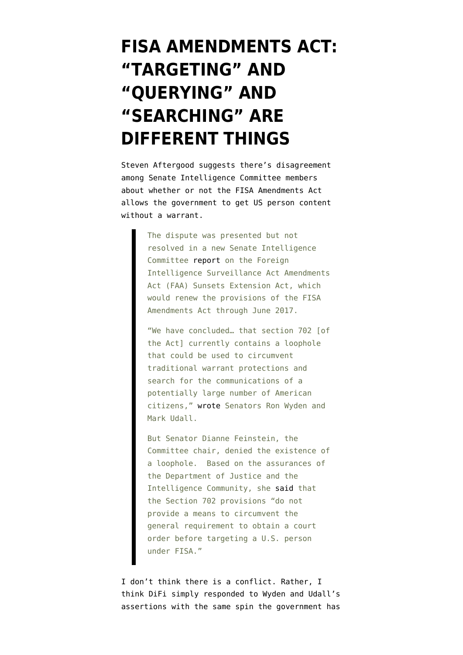## **[FISA AMENDMENTS ACT:](https://www.emptywheel.net/2012/06/11/fisa-amendments-act-targeting-and-querying-and-searching-are-different-things/) ["TARGETING" AND](https://www.emptywheel.net/2012/06/11/fisa-amendments-act-targeting-and-querying-and-searching-are-different-things/) ["QUERYING" AND](https://www.emptywheel.net/2012/06/11/fisa-amendments-act-targeting-and-querying-and-searching-are-different-things/) ["SEARCHING" ARE](https://www.emptywheel.net/2012/06/11/fisa-amendments-act-targeting-and-querying-and-searching-are-different-things/) [DIFFERENT THINGS](https://www.emptywheel.net/2012/06/11/fisa-amendments-act-targeting-and-querying-and-searching-are-different-things/)**

Steven Aftergood [suggests](https://www.fas.org/blog/secrecy/2012/06/faa_loophole.html) there's disagreement among Senate Intelligence Committee members about whether or not the FISA Amendments Act allows the government to get US person content without a warrant.

> The dispute was presented but not resolved in a new Senate Intelligence Committee [report](http://www.fas.org/irp/congress/2012_rpt/faa-extend.html) on the Foreign Intelligence Surveillance Act Amendments Act (FAA) Sunsets Extension Act, which would renew the provisions of the FISA Amendments Act through June 2017.

> "We have concluded… that section 702 [of the Act] currently contains a loophole that could be used to circumvent traditional warrant protections and search for the communications of a potentially large number of American citizens," [wrote](http://www.fas.org/irp/congress/2012_rpt/faa-extend.html) Senators Ron Wyden and Mark Udall.

> But Senator Dianne Feinstein, the Committee chair, denied the existence of a loophole. Based on the assurances of the Department of Justice and the Intelligence Community, she [said](http://www.fas.org/irp/congress/2012_rpt/faa-extend.html) that the Section 702 provisions "do not provide a means to circumvent the general requirement to obtain a court order before targeting a U.S. person under FISA."

I don't think there is a conflict. Rather, I think DiFi simply responded to Wyden and Udall's assertions with the same spin the government has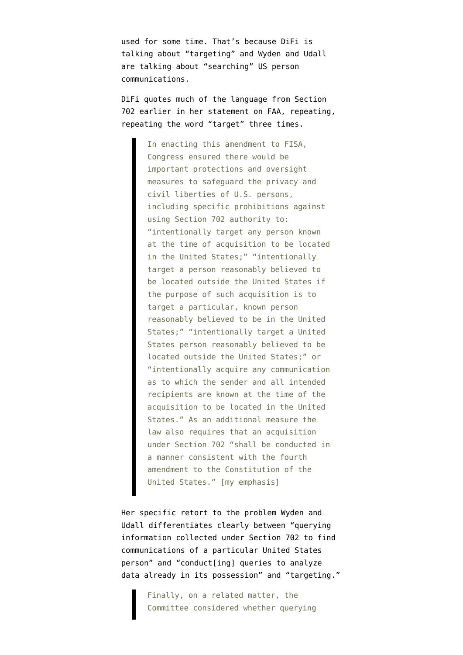used for some time. That's because DiFi is talking about "targeting" and Wyden and Udall are talking about "searching" US person communications.

DiFi quotes much of the language from Section 702 earlier in her statement on FAA, repeating, repeating the word "target" three times.

> In enacting this amendment to FISA, Congress ensured there would be important protections and oversight measures to safeguard the privacy and civil liberties of U.S. persons, including specific prohibitions against using Section 702 authority to: "intentionally target any person known at the time of acquisition to be located in the United States;" "intentionally target a person reasonably believed to be located outside the United States if the purpose of such acquisition is to target a particular, known person reasonably believed to be in the United States;" "intentionally target a United States person reasonably believed to be located outside the United States;" or "intentionally acquire any communication as to which the sender and all intended recipients are known at the time of the acquisition to be located in the United States." As an additional measure the law also requires that an acquisition under Section 702 "shall be conducted in a manner consistent with the fourth amendment to the Constitution of the United States." [my emphasis]

Her specific retort to the problem Wyden and Udall differentiates clearly between "querying information collected under Section 702 to find communications of a particular United States person" and "conduct[ing] queries to analyze data already in its possession" and "targeting."

> Finally, on a related matter, the Committee considered whether querying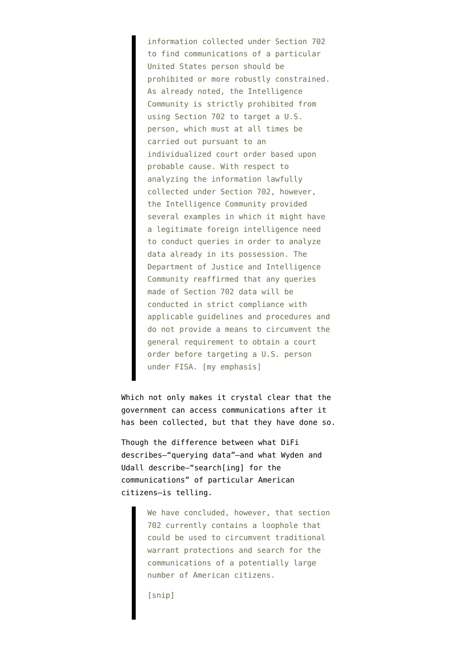information collected under Section 702 to find communications of a particular United States person should be prohibited or more robustly constrained. As already noted, the Intelligence Community is strictly prohibited from using Section 702 to target a U.S. person, which must at all times be carried out pursuant to an individualized court order based upon probable cause. With respect to analyzing the information lawfully collected under Section 702, however, the Intelligence Community provided several examples in which it might have a legitimate foreign intelligence need to conduct queries in order to analyze data already in its possession. The Department of Justice and Intelligence Community reaffirmed that any queries made of Section 702 data will be conducted in strict compliance with applicable guidelines and procedures and do not provide a means to circumvent the general requirement to obtain a court order before targeting a U.S. person under FISA. [my emphasis]

Which not only makes it crystal clear that the government can access communications after it has been collected, but that they have done so.

Though the difference between what DiFi describes–"querying data"–and what Wyden and Udall describe–"search[ing] for the communications" of particular American citizens–is telling.

> We have concluded, however, that section 702 currently contains a loophole that could be used to circumvent traditional warrant protections and search for the communications of a potentially large number of American citizens.

[snip]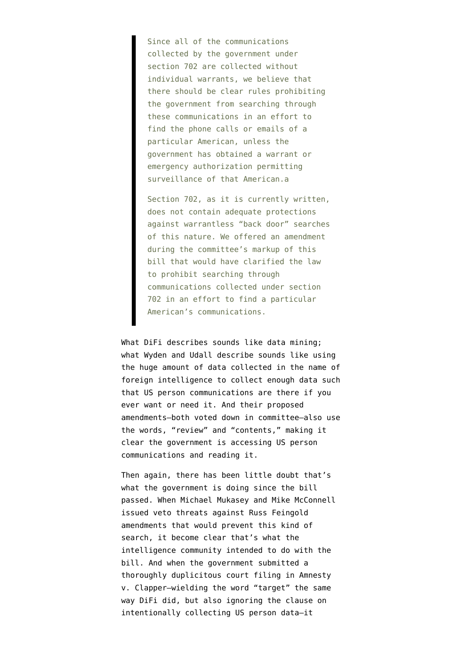Since all of the communications collected by the government under section 702 are collected without individual warrants, we believe that there should be clear rules prohibiting the government from searching through these communications in an effort to find the phone calls or emails of a particular American, unless the government has obtained a warrant or emergency authorization permitting surveillance of that American.a

Section 702, as it is currently written, does not contain adequate protections against warrantless "back door" searches of this nature. We offered an amendment during the committee's markup of this bill that would have clarified the law to prohibit searching through communications collected under section 702 in an effort to find a particular American's communications.

What DiFi describes sounds like data mining; what Wyden and Udall describe sounds like using the huge amount of data collected in the name of foreign intelligence to collect enough data such that US person communications are there if you ever want or need it. And their proposed amendments–both voted down in committee–also use the words, "review" and "contents," making it clear the government is accessing US person communications and reading it.

Then again, there has been little doubt that's what the government is doing since the bill passed. When Michael Mukasey and Mike McConnell [issued veto threats](http://www.emptywheel.net/2008/02/06/mcconnell-and-mukasey-tell-half-truths/) against Russ Feingold amendments that would prevent this kind of search, it become clear that's what the intelligence community intended to do with the bill. And when the government submitted a [thoroughly duplicitous court filing](http://www.emptywheel.net/2012/02/20/the-government-doesnt-want-to-talk-about-collecting-domestic-communications-under-faa/) in Amnesty v. Clapper–wielding the word "target" the same way DiFi did, but also ignoring the clause on intentionally collecting US person data–it